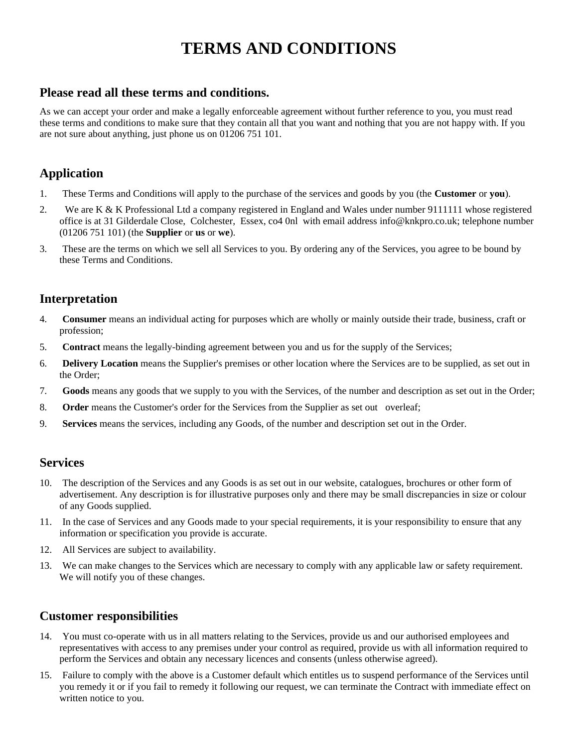# **TERMS AND CONDITIONS**

## **Please read all these terms and conditions.**

As we can accept your order and make a legally enforceable agreement without further reference to you, you must read these terms and conditions to make sure that they contain all that you want and nothing that you are not happy with. If you are not sure about anything, just phone us on 01206 751 101.

# **Application**

- 1. These Terms and Conditions will apply to the purchase of the services and goods by you (the **Customer** or **you**).
- 2. We are K & K Professional Ltd a company registered in England and Wales under number 9111111 whose registered office is at 31 Gilderdale Close, Colchester, Essex, co4 0nl with email address info@knkpro.co.uk; telephone number (01206 751 101) (the **Supplier** or **us** or **we**).
- 3. These are the terms on which we sell all Services to you. By ordering any of the Services, you agree to be bound by these Terms and Conditions.

# **Interpretation**

- 4. **Consumer** means an individual acting for purposes which are wholly or mainly outside their trade, business, craft or profession;
- 5. **Contract** means the legally-binding agreement between you and us for the supply of the Services;
- 6. **Delivery Location** means the Supplier's premises or other location where the Services are to be supplied, as set out in the Order;
- 7. **Goods** means any goods that we supply to you with the Services, of the number and description as set out in the Order;
- 8. **Order** means the Customer's order for the Services from the Supplier as set out overleaf;
- 9. **Services** means the services, including any Goods, of the number and description set out in the Order.

#### **Services**

- 10. The description of the Services and any Goods is as set out in our website, catalogues, brochures or other form of advertisement. Any description is for illustrative purposes only and there may be small discrepancies in size or colour of any Goods supplied.
- 11. In the case of Services and any Goods made to your special requirements, it is your responsibility to ensure that any information or specification you provide is accurate.
- 12. All Services are subject to availability.
- 13. We can make changes to the Services which are necessary to comply with any applicable law or safety requirement. We will notify you of these changes.

#### **Customer responsibilities**

- 14. You must co-operate with us in all matters relating to the Services, provide us and our authorised employees and representatives with access to any premises under your control as required, provide us with all information required to perform the Services and obtain any necessary licences and consents (unless otherwise agreed).
- 15. Failure to comply with the above is a Customer default which entitles us to suspend performance of the Services until you remedy it or if you fail to remedy it following our request, we can terminate the Contract with immediate effect on written notice to you.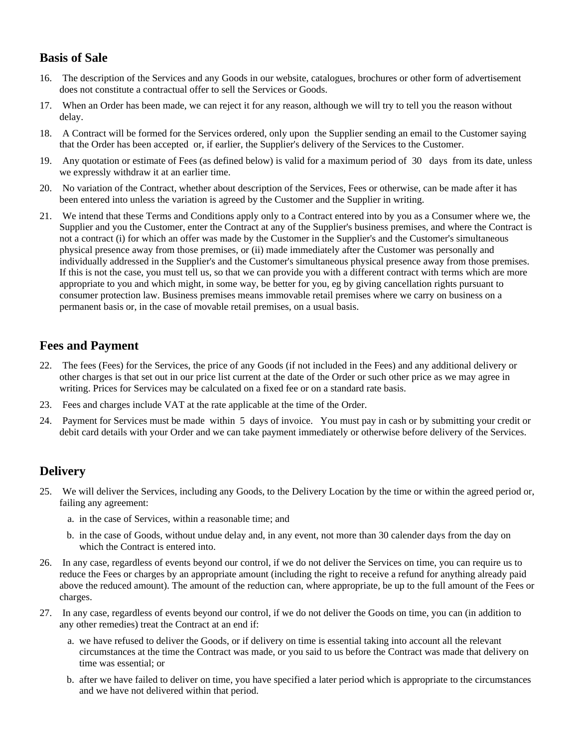# **Basis of Sale**

- 16. The description of the Services and any Goods in our website, catalogues, brochures or other form of advertisement does not constitute a contractual offer to sell the Services or Goods.
- 17. When an Order has been made, we can reject it for any reason, although we will try to tell you the reason without delay.
- 18. A Contract will be formed for the Services ordered, only upon the Supplier sending an email to the Customer saying that the Order has been accepted or, if earlier, the Supplier's delivery of the Services to the Customer.
- 19. Any quotation or estimate of Fees (as defined below) is valid for a maximum period of 30 days from its date, unless we expressly withdraw it at an earlier time.
- 20. No variation of the Contract, whether about description of the Services, Fees or otherwise, can be made after it has been entered into unless the variation is agreed by the Customer and the Supplier in writing.
- 21. We intend that these Terms and Conditions apply only to a Contract entered into by you as a Consumer where we, the Supplier and you the Customer, enter the Contract at any of the Supplier's business premises, and where the Contract is not a contract (i) for which an offer was made by the Customer in the Supplier's and the Customer's simultaneous physical presence away from those premises, or (ii) made immediately after the Customer was personally and individually addressed in the Supplier's and the Customer's simultaneous physical presence away from those premises. If this is not the case, you must tell us, so that we can provide you with a different contract with terms which are more appropriate to you and which might, in some way, be better for you, eg by giving cancellation rights pursuant to consumer protection law. Business premises means immovable retail premises where we carry on business on a permanent basis or, in the case of movable retail premises, on a usual basis.

## **Fees and Payment**

- 22. The fees (Fees) for the Services, the price of any Goods (if not included in the Fees) and any additional delivery or other charges is that set out in our price list current at the date of the Order or such other price as we may agree in writing. Prices for Services may be calculated on a fixed fee or on a standard rate basis.
- 23. Fees and charges include VAT at the rate applicable at the time of the Order.
- 24. Payment for Services must be made within 5 days of invoice. You must pay in cash or by submitting your credit or debit card details with your Order and we can take payment immediately or otherwise before delivery of the Services.

## **Delivery**

- 25. We will deliver the Services, including any Goods, to the Delivery Location by the time or within the agreed period or, failing any agreement:
	- a. in the case of Services, within a reasonable time; and
	- b. in the case of Goods, without undue delay and, in any event, not more than 30 calender days from the day on which the Contract is entered into.
- 26. In any case, regardless of events beyond our control, if we do not deliver the Services on time, you can require us to reduce the Fees or charges by an appropriate amount (including the right to receive a refund for anything already paid above the reduced amount). The amount of the reduction can, where appropriate, be up to the full amount of the Fees or charges.
- 27. In any case, regardless of events beyond our control, if we do not deliver the Goods on time, you can (in addition to any other remedies) treat the Contract at an end if:
	- a. we have refused to deliver the Goods, or if delivery on time is essential taking into account all the relevant circumstances at the time the Contract was made, or you said to us before the Contract was made that delivery on time was essential; or
	- b. after we have failed to deliver on time, you have specified a later period which is appropriate to the circumstances and we have not delivered within that period.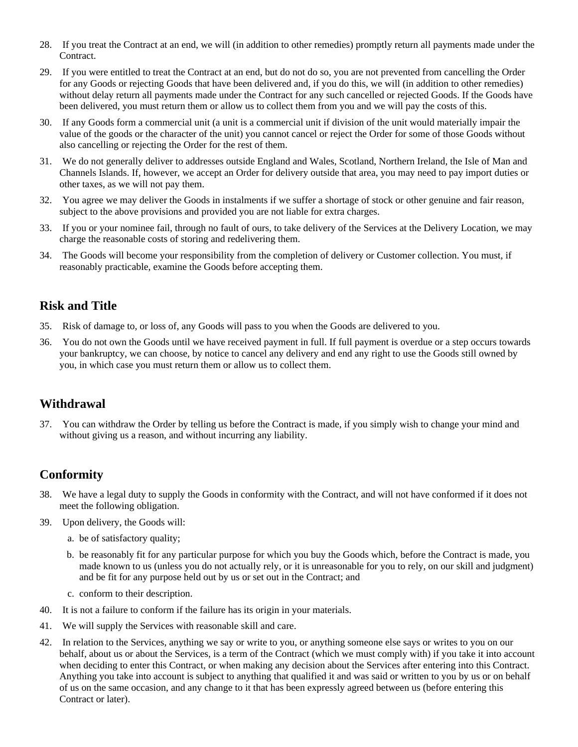- 28. If you treat the Contract at an end, we will (in addition to other remedies) promptly return all payments made under the Contract.
- 29. If you were entitled to treat the Contract at an end, but do not do so, you are not prevented from cancelling the Order for any Goods or rejecting Goods that have been delivered and, if you do this, we will (in addition to other remedies) without delay return all payments made under the Contract for any such cancelled or rejected Goods. If the Goods have been delivered, you must return them or allow us to collect them from you and we will pay the costs of this.
- 30. If any Goods form a commercial unit (a unit is a commercial unit if division of the unit would materially impair the value of the goods or the character of the unit) you cannot cancel or reject the Order for some of those Goods without also cancelling or rejecting the Order for the rest of them.
- 31. We do not generally deliver to addresses outside England and Wales, Scotland, Northern Ireland, the Isle of Man and Channels Islands. If, however, we accept an Order for delivery outside that area, you may need to pay import duties or other taxes, as we will not pay them.
- 32. You agree we may deliver the Goods in instalments if we suffer a shortage of stock or other genuine and fair reason, subject to the above provisions and provided you are not liable for extra charges.
- 33. If you or your nominee fail, through no fault of ours, to take delivery of the Services at the Delivery Location, we may charge the reasonable costs of storing and redelivering them.
- 34. The Goods will become your responsibility from the completion of delivery or Customer collection. You must, if reasonably practicable, examine the Goods before accepting them.

## **Risk and Title**

- 35. Risk of damage to, or loss of, any Goods will pass to you when the Goods are delivered to you.
- 36. You do not own the Goods until we have received payment in full. If full payment is overdue or a step occurs towards your bankruptcy, we can choose, by notice to cancel any delivery and end any right to use the Goods still owned by you, in which case you must return them or allow us to collect them.

# **Withdrawal**

37. You can withdraw the Order by telling us before the Contract is made, if you simply wish to change your mind and without giving us a reason, and without incurring any liability.

## **Conformity**

- 38. We have a legal duty to supply the Goods in conformity with the Contract, and will not have conformed if it does not meet the following obligation.
- 39. Upon delivery, the Goods will:
	- a. be of satisfactory quality;
	- b. be reasonably fit for any particular purpose for which you buy the Goods which, before the Contract is made, you made known to us (unless you do not actually rely, or it is unreasonable for you to rely, on our skill and judgment) and be fit for any purpose held out by us or set out in the Contract; and
	- c. conform to their description.
- 40. It is not a failure to conform if the failure has its origin in your materials.
- 41. We will supply the Services with reasonable skill and care.
- 42. In relation to the Services, anything we say or write to you, or anything someone else says or writes to you on our behalf, about us or about the Services, is a term of the Contract (which we must comply with) if you take it into account when deciding to enter this Contract, or when making any decision about the Services after entering into this Contract. Anything you take into account is subject to anything that qualified it and was said or written to you by us or on behalf of us on the same occasion, and any change to it that has been expressly agreed between us (before entering this Contract or later).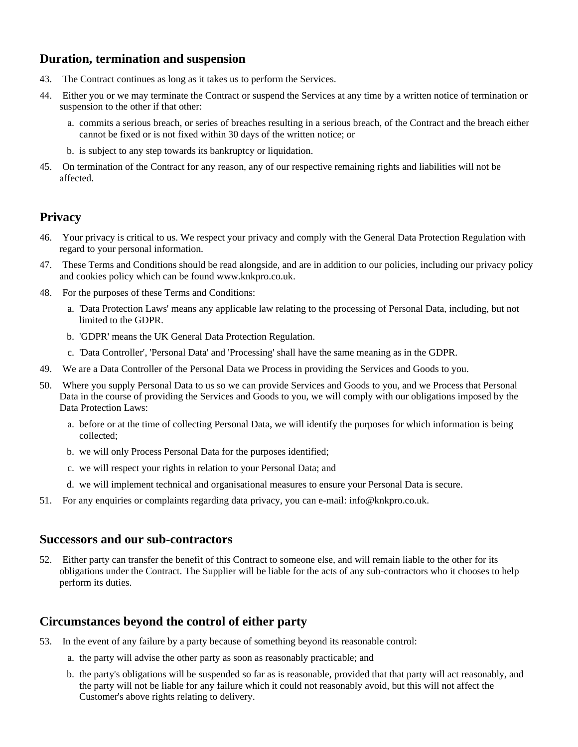### **Duration, termination and suspension**

- 43. The Contract continues as long as it takes us to perform the Services.
- 44. Either you or we may terminate the Contract or suspend the Services at any time by a written notice of termination or suspension to the other if that other:
	- a. commits a serious breach, or series of breaches resulting in a serious breach, of the Contract and the breach either cannot be fixed or is not fixed within 30 days of the written notice; or
	- b. is subject to any step towards its bankruptcy or liquidation.
- 45. On termination of the Contract for any reason, any of our respective remaining rights and liabilities will not be affected.

#### **Privacy**

- 46. Your privacy is critical to us. We respect your privacy and comply with the General Data Protection Regulation with regard to your personal information.
- 47. These Terms and Conditions should be read alongside, and are in addition to our policies, including our privacy policy and cookies policy which can be found www.knkpro.co.uk.
- 48. For the purposes of these Terms and Conditions:
	- a. 'Data Protection Laws' means any applicable law relating to the processing of Personal Data, including, but not limited to the GDPR.
	- b. 'GDPR' means the UK General Data Protection Regulation.
	- c. 'Data Controller', 'Personal Data' and 'Processing' shall have the same meaning as in the GDPR.
- 49. We are a Data Controller of the Personal Data we Process in providing the Services and Goods to you.
- 50. Where you supply Personal Data to us so we can provide Services and Goods to you, and we Process that Personal Data in the course of providing the Services and Goods to you, we will comply with our obligations imposed by the Data Protection Laws:
	- a. before or at the time of collecting Personal Data, we will identify the purposes for which information is being collected;
	- b. we will only Process Personal Data for the purposes identified;
	- c. we will respect your rights in relation to your Personal Data; and
	- d. we will implement technical and organisational measures to ensure your Personal Data is secure.
- 51. For any enquiries or complaints regarding data privacy, you can e-mail: info@knkpro.co.uk.

#### **Successors and our sub-contractors**

52. Either party can transfer the benefit of this Contract to someone else, and will remain liable to the other for its obligations under the Contract. The Supplier will be liable for the acts of any sub-contractors who it chooses to help perform its duties.

#### **Circumstances beyond the control of either party**

- 53. In the event of any failure by a party because of something beyond its reasonable control:
	- a. the party will advise the other party as soon as reasonably practicable; and
	- b. the party's obligations will be suspended so far as is reasonable, provided that that party will act reasonably, and the party will not be liable for any failure which it could not reasonably avoid, but this will not affect the Customer's above rights relating to delivery.